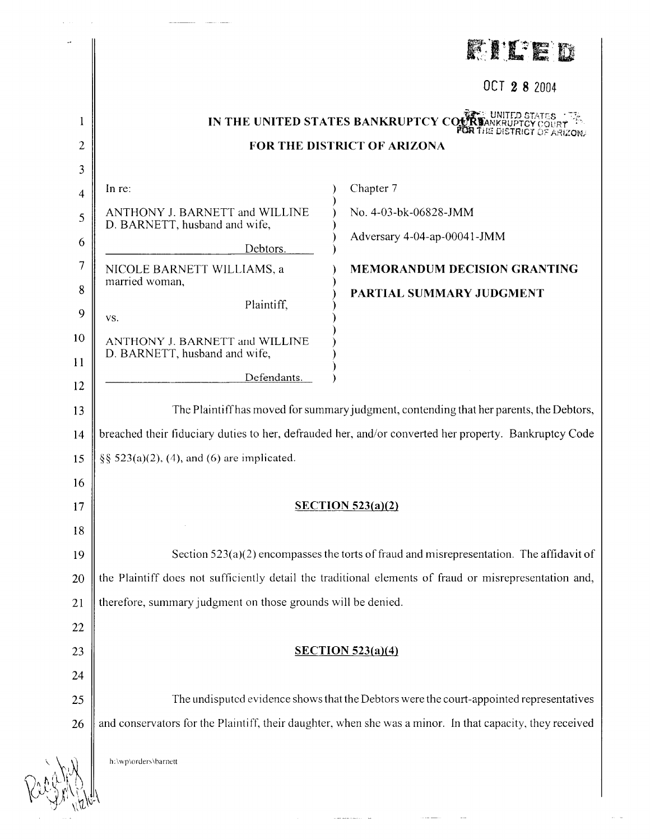|                |                                                                                                        | K. K'I TE K                                                                                               |
|----------------|--------------------------------------------------------------------------------------------------------|-----------------------------------------------------------------------------------------------------------|
|                |                                                                                                        | OCT 28 2004                                                                                               |
| 1              |                                                                                                        | IN THE UNITED STATES BANKRUPTCY CO.                                                                       |
| $\overline{2}$ |                                                                                                        | FOR THE DISTRICT OF ARIZONA                                                                               |
| 3              |                                                                                                        |                                                                                                           |
| 4              | In re:                                                                                                 | Chapter 7                                                                                                 |
| 5              | ANTHONY J. BARNETT and WILLINE<br>D. BARNETT, husband and wife,                                        | No. 4-03-bk-06828-JMM                                                                                     |
| 6              | Debtors.                                                                                               | Adversary 4-04-ap-00041-JMM                                                                               |
| 7              | NICOLE BARNETT WILLIAMS, a                                                                             | <b>MEMORANDUM DECISION GRANTING</b>                                                                       |
| 8              | married woman,                                                                                         | PARTIAL SUMMARY JUDGMENT                                                                                  |
| 9              | Plaintiff,<br>VS.                                                                                      |                                                                                                           |
| 10             | ANTHONY J. BARNETT and WILLINE                                                                         |                                                                                                           |
| 11             | D. BARNETT, husband and wife,                                                                          |                                                                                                           |
| 12             | Defendants.                                                                                            |                                                                                                           |
| 13             | The Plaintiff has moved for summary judgment, contending that her parents, the Debtors,                |                                                                                                           |
| 14             | breached their fiduciary duties to her, defrauded her, and/or converted her property. Bankruptcy Code  |                                                                                                           |
| 15             | $\S\S 523(a)(2)$ , (4), and (6) are implicated.                                                        |                                                                                                           |
| 16             |                                                                                                        |                                                                                                           |
| 17             | SECTION $523(a)(2)$                                                                                    |                                                                                                           |
| 18             |                                                                                                        |                                                                                                           |
| 19             | Section $523(a)(2)$ encompasses the torts of fraud and misrepresentation. The affidavit of             |                                                                                                           |
| 20             | the Plaintiff does not sufficiently detail the traditional elements of fraud or misrepresentation and, |                                                                                                           |
| 21             | therefore, summary judgment on those grounds will be denied.                                           |                                                                                                           |
| 22             |                                                                                                        |                                                                                                           |
| 23             |                                                                                                        | SECTION 523(a)(4)                                                                                         |
| 24             |                                                                                                        |                                                                                                           |
| 25             | The undisputed evidence shows that the Debtors were the court-appointed representatives                |                                                                                                           |
| 26             |                                                                                                        | and conservators for the Plaintiff, their daughter, when she was a minor. In that capacity, they received |
|                | h:\wp\orders\barnett                                                                                   |                                                                                                           |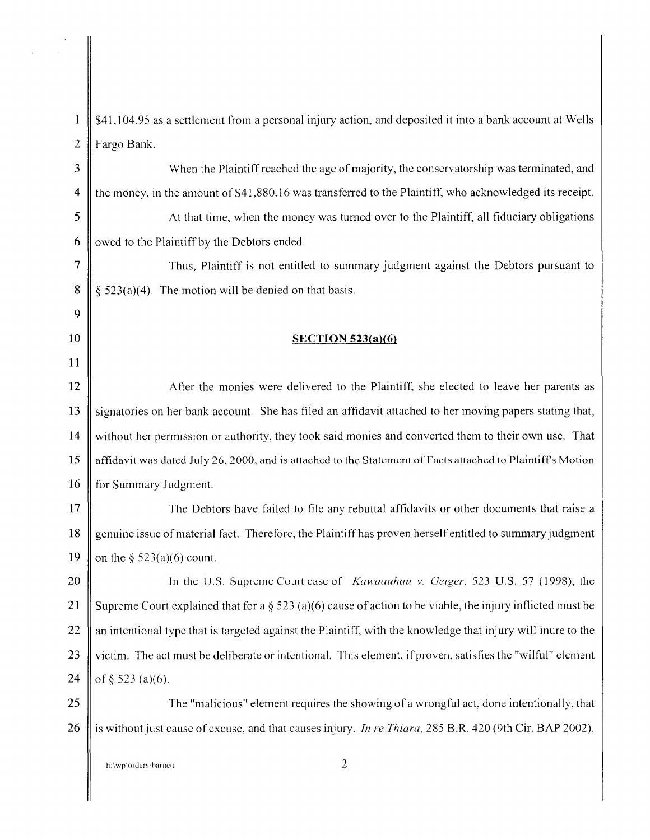4 the money, in the amount of \$41,880.16 was transferred to the Plaintiff, who acknowledged its receipt. 9 11

1  $\parallel$  \$41,104.95 as a settlement from a personal injury action, and deposited it into a bank account at Wells 2 | Fargo Bank. 3 When the Plaintiff reached the age of majority, the conservatorship was terminated, and

5 | At that time, when the money was turned over to the Plaintiff, all fiduciary obligations 6  $\parallel$  owed to the Plaintiff by the Debtors ended.

7 || 8  $\parallel$  § 523(a)(4). The motion will be denied on that basis.

## 10 **SECTION 523(a)(6)**

12 After the monies were delivered to the Plaintiff, she elected to leave her parents as 13 Signatories on her bank account. She has filed an affidavit attached to her moving papers stating that, 14 without her permission or authority, they took said monies and converted them to their own use. That 15 Affidavit was dated July 26, 2000, and is attached to the Statement of Facts attached to Plaintiff's Motion 16 **for Summary Judgment.** 

17 The Debtors have failed to file any rebuttal affidavits or other documents that raise a 18 genuine issue of material fact. Therefore, the Plaintiff has proven herself entitled to summary judgment 19  $\parallel$  on the § 523(a)(6) count.

20 || In the U.S. Supreme Court case of *Kuwuuuhuu v. Geiger*, 523 U.S. 57 (1998), the 21 Supreme Court explained that for a  $\S$  523 (a)(6) cause of action to be viable, the injury inflicted must be 22  $\parallel$  an intentional type that is targeted against the Plaintiff, with the knowledge that injury will inure to the 23  $\parallel$  victim. The act must be deliberate or intentional. This element, if proven, satisfies the "wilful" element 24 of  $\S$  523 (a)(6).

 $25 \parallel$  The "malicious" element requires the showing of a wrongful act, done intentionally, that 26 is without just cause of excuse, and that causes injury. *In re Thiara,* 285 B.R. 420 (9th Cir. BAP 2002).

h:\wp\orders\barnett 2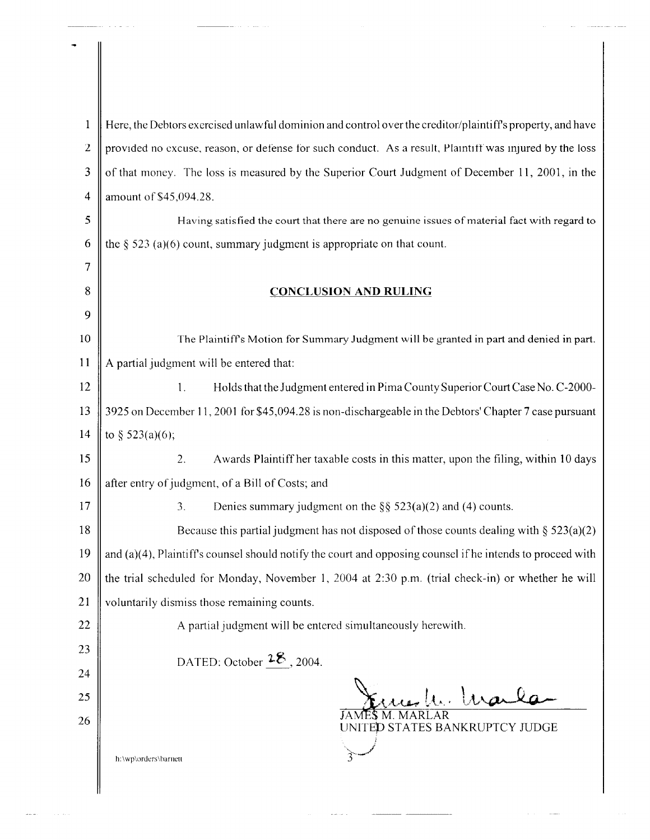| $\mathbf{1}$   | Here, the Debtors exercised unlawful dominion and control over the creditor/plaintiff's property, and have    |  |  |
|----------------|---------------------------------------------------------------------------------------------------------------|--|--|
| $\overline{2}$ | provided no excuse, reason, or defense for such conduct. As a result, Plaintiff was injured by the loss       |  |  |
| 3              | of that money. The loss is measured by the Superior Court Judgment of December 11, 2001, in the               |  |  |
| $\overline{4}$ | amount of \$45,094.28.                                                                                        |  |  |
| 5              | Having satisfied the court that there are no genuine issues of material fact with regard to                   |  |  |
| 6              | the $\S$ 523 (a)(6) count, summary judgment is appropriate on that count.                                     |  |  |
| 7              |                                                                                                               |  |  |
| 8              | <b>CONCLUSION AND RULING</b>                                                                                  |  |  |
| 9              |                                                                                                               |  |  |
| 10             | The Plaintiff's Motion for Summary Judgment will be granted in part and denied in part.                       |  |  |
| 11             | A partial judgment will be entered that:                                                                      |  |  |
| 12             | Holds that the Judgment entered in Pima County Superior Court Case No. C-2000-<br>1 <sub>1</sub>              |  |  |
| 13             | 3925 on December 11, 2001 for \$45,094.28 is non-dischargeable in the Debtors' Chapter 7 case pursuant        |  |  |
| 14             | to § 523(a)(6);                                                                                               |  |  |
| 15             | Awards Plaintiff her taxable costs in this matter, upon the filing, within 10 days<br>2.                      |  |  |
| 16             | after entry of judgment, of a Bill of Costs; and                                                              |  |  |
| 17             | Denies summary judgment on the $\S$ § 523(a)(2) and (4) counts.<br>3 <sub>1</sub>                             |  |  |
| 18             | Because this partial judgment has not disposed of those counts dealing with $\S 523(a)(2)$                    |  |  |
| 19             | and $(a)(4)$ , Plaintiff's counsel should notify the court and opposing counsel if he intends to proceed with |  |  |
| 20             | the trial scheduled for Monday, November 1, 2004 at 2:30 p.m. (trial check-in) or whether he will             |  |  |
| 21             | voluntarily dismiss those remaining counts.                                                                   |  |  |
| 22             | A partial judgment will be entered simultaneously herewith.                                                   |  |  |
| 23             | DATED: October $28$ , 2004.                                                                                   |  |  |
| 24             |                                                                                                               |  |  |
| 25             | War                                                                                                           |  |  |
| 26             | UNITED STATES BANKRUPTCY JUDGE                                                                                |  |  |
|                | h:\wp\orders\barnett                                                                                          |  |  |
|                |                                                                                                               |  |  |

 $\sim$  100 cm  $^{-1}$  .

 $\sim$ 

 $\mathcal{L}_{\mathcal{M}}$  . The constraint  $\mathcal{L}_{\mathcal{M}}$ 

 $\mathcal{L}_{\mathcal{F}}$  , and  $\mathcal{L}_{\mathcal{F}}$  , and  $\mathcal{L}_{\mathcal{F}}$  , and the sum assumed the same

 $\overline{\phantom{a}}$ 

المناجع والمست

 $\mathbb{I}$ 

 $\sim 100$  km s  $^{-1}$ 

 $\omega_{\rm{max}}$